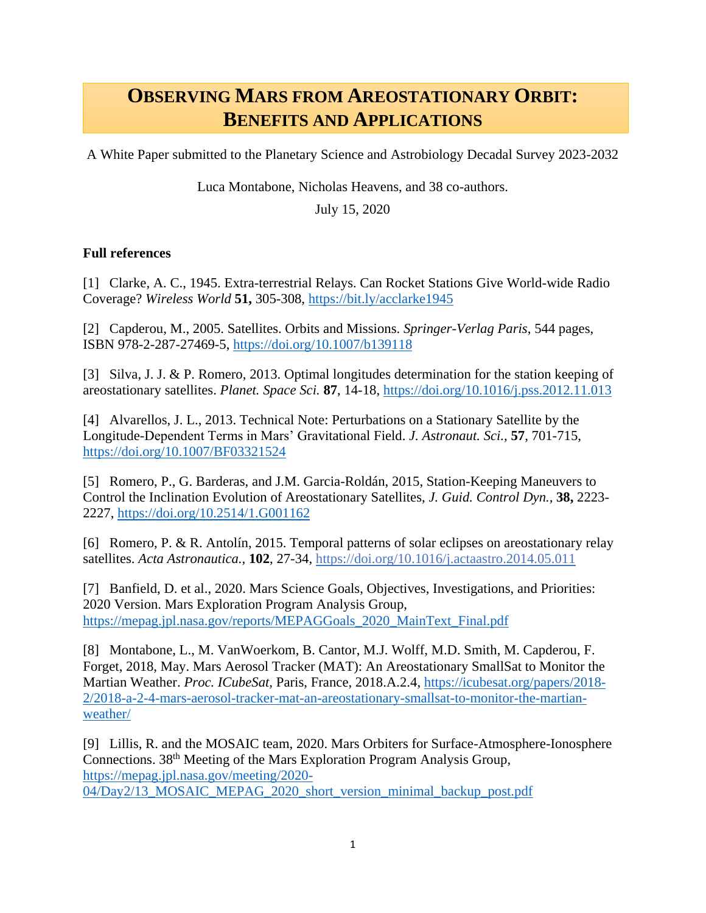## **OBSERVING MARS FROM AREOSTATIONARY ORBIT: BENEFITS AND APPLICATIONS**

A White Paper submitted to the Planetary Science and Astrobiology Decadal Survey 2023-2032

Luca Montabone, Nicholas Heavens, and 38 co-authors.

July 15, 2020

## **Full references**

[1] Clarke, A. C., 1945. Extra-terrestrial Relays. Can Rocket Stations Give World-wide Radio Coverage? *Wireless World* **51,** 305-308,<https://bit.ly/acclarke1945>

[2] Capderou, M., 2005. Satellites. Orbits and Missions. *Springer-Verlag Paris*, 544 pages, ISBN 978-2-287-27469-5,<https://doi.org/10.1007/b139118>

[3] Silva, J. J. & P. Romero, 2013. Optimal longitudes determination for the station keeping of areostationary satellites. *Planet. Space Sci.* **87**, 14-18,<https://doi.org/10.1016/j.pss.2012.11.013>

[4] Alvarellos, J. L., 2013. Technical Note: Perturbations on a Stationary Satellite by the Longitude-Dependent Terms in Mars' Gravitational Field. *J. Astronaut. Sci.,* **57**, 701-715, <https://doi.org/10.1007/BF03321524>

[5] Romero, P., G. Barderas, and J.M. Garcia-Roldán, 2015, Station-Keeping Maneuvers to Control the Inclination Evolution of Areostationary Satellites, *J. Guid. Control Dyn.,* **38,** 2223- 2227,<https://doi.org/10.2514/1.G001162>

[6] Romero, P. & R. Antolín, 2015. Temporal patterns of solar eclipses on areostationary relay satellites. *Acta Astronautica.,* **102**, 27-34,<https://doi.org/10.1016/j.actaastro.2014.05.011>

[7] Banfield, D. et al., 2020. Mars Science Goals, Objectives, Investigations, and Priorities: 2020 Version. Mars Exploration Program Analysis Group, [https://mepag.jpl.nasa.gov/reports/MEPAGGoals\\_2020\\_MainText\\_Final.pdf](https://mepag.jpl.nasa.gov/reports/MEPAGGoals_2020_MainText_Final.pdf)

[8] Montabone, L., M. VanWoerkom, B. Cantor, M.J. Wolff, M.D. Smith, M. Capderou, F. Forget, 2018, May. Mars Aerosol Tracker (MAT): An Areostationary SmallSat to Monitor the Martian Weather. *Proc. ICubeSat,* Paris, France, 2018.A.2.4, [https://icubesat.org/papers/2018-](https://icubesat.org/papers/2018-2/2018-a-2-4-mars-aerosol-tracker-mat-an-areostationary-smallsat-to-monitor-the-martian-weather/) [2/2018-a-2-4-mars-aerosol-tracker-mat-an-areostationary-smallsat-to-monitor-the-martian](https://icubesat.org/papers/2018-2/2018-a-2-4-mars-aerosol-tracker-mat-an-areostationary-smallsat-to-monitor-the-martian-weather/)[weather/](https://icubesat.org/papers/2018-2/2018-a-2-4-mars-aerosol-tracker-mat-an-areostationary-smallsat-to-monitor-the-martian-weather/)

[9] Lillis, R. and the MOSAIC team, 2020. Mars Orbiters for Surface-Atmosphere-Ionosphere Connections. 38<sup>th</sup> Meeting of the Mars Exploration Program Analysis Group, [https://mepag.jpl.nasa.gov/meeting/2020-](https://mepag.jpl.nasa.gov/meeting/2020-04/Day2/13_MOSAIC_MEPAG_2020_short_version_minimal_backup_post.pdf)

[04/Day2/13\\_MOSAIC\\_MEPAG\\_2020\\_short\\_version\\_minimal\\_backup\\_post.pdf](https://mepag.jpl.nasa.gov/meeting/2020-04/Day2/13_MOSAIC_MEPAG_2020_short_version_minimal_backup_post.pdf)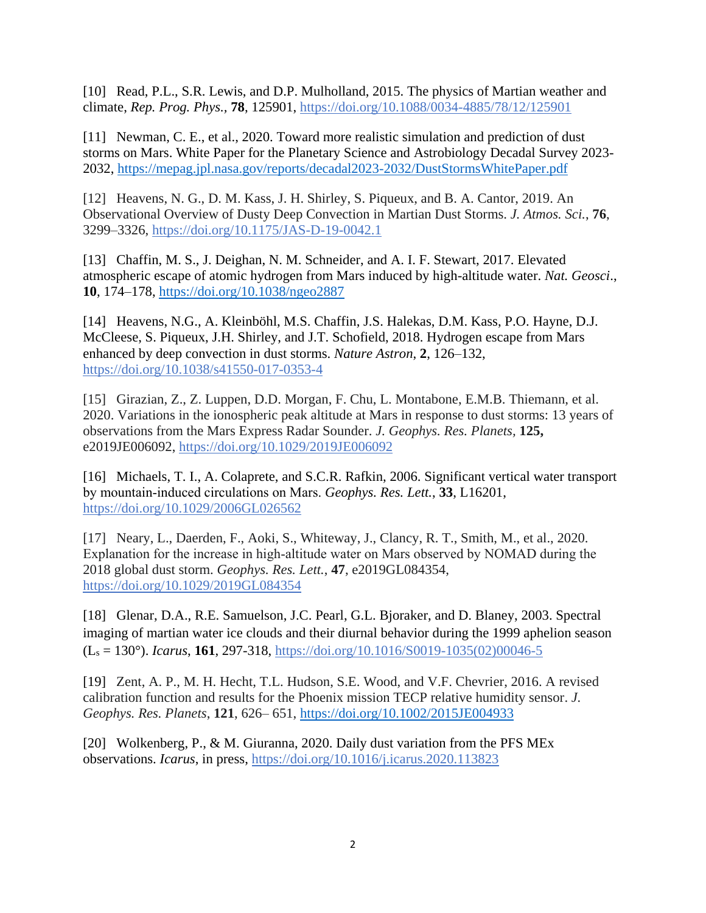[10] Read, P.L., S.R. Lewis, and D.P. Mulholland, 2015. The physics of Martian weather and climate, *Rep. Prog. Phys.,* **78**, 125901,<https://doi.org/10.1088/0034-4885/78/12/125901>

[11] Newman, C. E., et al., 2020. Toward more realistic simulation and prediction of dust storms on Mars. White Paper for the Planetary Science and Astrobiology Decadal Survey 2023- 2032,<https://mepag.jpl.nasa.gov/reports/decadal2023-2032/DustStormsWhitePaper.pdf>

[12] Heavens, N. G., D. M. Kass, J. H. Shirley, S. Piqueux, and B. A. Cantor, 2019. An Observational Overview of Dusty Deep Convection in Martian Dust Storms. *J. Atmos. Sci.*, **76**, 3299–3326,<https://doi.org/10.1175/JAS-D-19-0042.1>

[13] Chaffin, M. S., J. Deighan, N. M. Schneider, and A. I. F. Stewart, 2017. Elevated atmospheric escape of atomic hydrogen from Mars induced by high-altitude water. *Nat. Geosci*., **10**, 174–178,<https://doi.org/10.1038/ngeo2887>

[14] Heavens, N.G., A. Kleinböhl, M.S. Chaffin, J.S. Halekas, D.M. Kass, P.O. Hayne, D.J. McCleese, S. Piqueux, J.H. Shirley, and J.T. Schofield, 2018. Hydrogen escape from Mars enhanced by deep convection in dust storms. *Nature Astron*, **2**, 126–132, <https://doi.org/10.1038/s41550-017-0353-4>

[15] Girazian, Z., Z. Luppen, D.D. Morgan, F. Chu, L. Montabone, E.M.B. Thiemann, et al. 2020. Variations in the ionospheric peak altitude at Mars in response to dust storms: 13 years of observations from the Mars Express Radar Sounder. *J. Geophys. Res. Planets,* **125,**  e2019JE006092,<https://doi.org/10.1029/2019JE006092>

[16] Michaels, T. I., A. Colaprete, and S.C.R. Rafkin, 2006. Significant vertical water transport by mountain‐induced circulations on Mars. *Geophys. Res. Lett.*, **33**, L16201, <https://doi.org/10.1029/2006GL026562>

[17] Neary, L., Daerden, F., Aoki, S., Whiteway, J., Clancy, R. T., Smith, M., et al., 2020. Explanation for the increase in high‐altitude water on Mars observed by NOMAD during the 2018 global dust storm. *Geophys. Res. Lett.*, **47**, e2019GL084354, <https://doi.org/10.1029/2019GL084354>

[18] Glenar, D.A., R.E. Samuelson, J.C. Pearl, G.L. Bjoraker, and D. Blaney, 2003. Spectral imaging of martian water ice clouds and their diurnal behavior during the 1999 aphelion season (L<sup>s</sup> = 130°). *Icarus*, **161**, 297-318, [https://doi.org/10.1016/S0019-1035\(02\)00046-5](https://doi.org/10.1016/S0019-1035(02)00046-5)

[19] Zent, A. P., M. H. Hecht, T.L. Hudson, S.E. Wood, and V.F. Chevrier, 2016. A revised calibration function and results for the Phoenix mission TECP relative humidity sensor. *J. Geophys. Res. Planets*, **121**, 626– 651,<https://doi.org/10.1002/2015JE004933>

[20] Wolkenberg, P., & M. Giuranna, 2020. Daily dust variation from the PFS MEx observations. *Icarus*, in press,<https://doi.org/10.1016/j.icarus.2020.113823>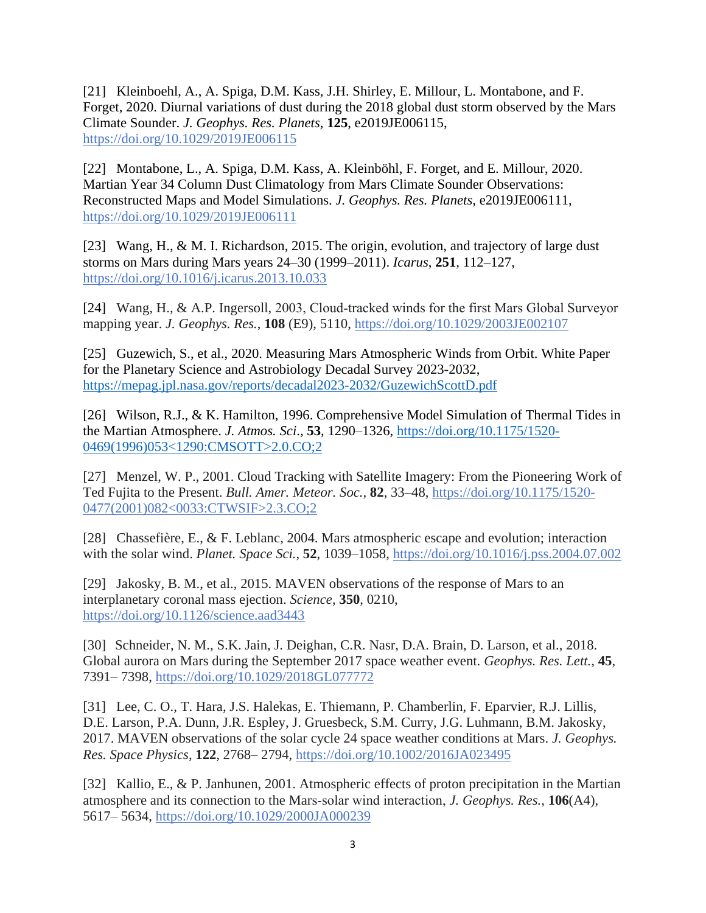[21] Kleinboehl, A., A. Spiga, D.M. Kass, J.H. Shirley, E. Millour, L. Montabone, and F. Forget, 2020. Diurnal variations of dust during the 2018 global dust storm observed by the Mars Climate Sounder. *J. Geophys. Res. Planets,* **125**, e2019JE006115, <https://doi.org/10.1029/2019JE006115>

[22] Montabone, L., A. Spiga, D.M. Kass, A. Kleinböhl, F. Forget, and E. Millour, 2020. Martian Year 34 Column Dust Climatology from Mars Climate Sounder Observations: Reconstructed Maps and Model Simulations. *J. Geophys. Res. Planets,* e2019JE006111, <https://doi.org/10.1029/2019JE006111>

[23] Wang, H., & M. I. Richardson, 2015. The origin, evolution, and trajectory of large dust storms on Mars during Mars years 24–30 (1999–2011). *Icarus*, **251**, 112–127, <https://doi.org/10.1016/j.icarus.2013.10.033>

[24] Wang, H., & A.P. Ingersoll, 2003, Cloud-tracked winds for the first Mars Global Surveyor mapping year. *J. Geophys. Res.*, **108** (E9), 5110,<https://doi.org/10.1029/2003JE002107>

[25] Guzewich, S., et al., 2020. Measuring Mars Atmospheric Winds from Orbit. White Paper for the Planetary Science and Astrobiology Decadal Survey 2023-2032, <https://mepag.jpl.nasa.gov/reports/decadal2023-2032/GuzewichScottD.pdf>

[26] Wilson, R.J., & K. Hamilton, 1996. Comprehensive Model Simulation of Thermal Tides in the Martian Atmosphere. *J. Atmos. Sci*., **53**, 1290–1326, [https://doi.org/10.1175/1520-](https://doi.org/10.1175/1520-0469(1996)053%3c1290:CMSOTT%3e2.0.CO;2) [0469\(1996\)053<1290:CMSOTT>2.0.CO;2](https://doi.org/10.1175/1520-0469(1996)053%3c1290:CMSOTT%3e2.0.CO;2)

[27] Menzel, W. P., 2001. Cloud Tracking with Satellite Imagery: From the Pioneering Work of Ted Fujita to the Present. *Bull. Amer. Meteor. Soc.*, **82**, 33–48, [https://doi.org/10.1175/1520-](https://doi.org/10.1175/1520-0477(2001)082%3C0033:CTWSIF%3E2.3.CO;2) [0477\(2001\)082<0033:CTWSIF>2.3.CO;2](https://doi.org/10.1175/1520-0477(2001)082%3C0033:CTWSIF%3E2.3.CO;2)

[28] Chassefière, E., & F. Leblanc, 2004. Mars atmospheric escape and evolution; interaction with the solar wind. *Planet. Space Sci.*, **52**, 1039–1058,<https://doi.org/10.1016/j.pss.2004.07.002>

[29] Jakosky, B. M., et al., 2015. MAVEN observations of the response of Mars to an interplanetary coronal mass ejection. *Science*, **350**, 0210, <https://doi.org/10.1126/science.aad3443>

[30] Schneider, N. M., S.K. Jain, J. Deighan, C.R. Nasr, D.A. Brain, D. Larson, et al., 2018. Global aurora on Mars during the September 2017 space weather event. *Geophys. Res. Lett.*, **45**, 7391– 7398,<https://doi.org/10.1029/2018GL077772>

[31] Lee, C. O., T. Hara, J.S. Halekas, E. Thiemann, P. Chamberlin, F. Eparvier, R.J. Lillis, D.E. Larson, P.A. Dunn, J.R. Espley, J. Gruesbeck, S.M. Curry, J.G. Luhmann, B.M. Jakosky, 2017. MAVEN observations of the solar cycle 24 space weather conditions at Mars. *J. Geophys. Res. Space Physics*, **122**, 2768– 2794,<https://doi.org/10.1002/2016JA023495>

[32] Kallio, E., & P. Janhunen, 2001. Atmospheric effects of proton precipitation in the Martian atmosphere and its connection to the Mars‐solar wind interaction, *J. Geophys. Res.*, **106**(A4), 5617– 5634,<https://doi.org/10.1029/2000JA000239>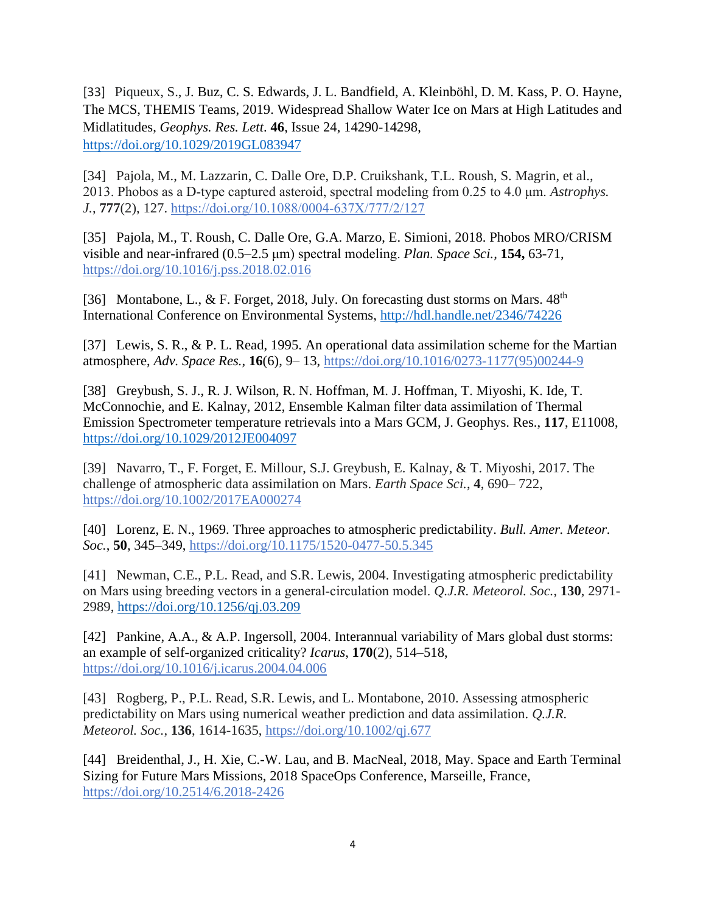[33] Piqueux, S., J. Buz, C. S. Edwards, J. L. Bandfield, A. Kleinböhl, D. M. Kass, P. O. Hayne, The MCS, THEMIS Teams, 2019. Widespread Shallow Water Ice on Mars at High Latitudes and Midlatitudes, *Geophys. Res. Lett*. **46**, Issue 24, 14290-14298, <https://doi.org/10.1029/2019GL083947>

[34] Pajola, M., M. Lazzarin, C. Dalle Ore, D.P. Cruikshank, T.L. Roush, S. Magrin, et al., 2013. Phobos as a D‐type captured asteroid, spectral modeling from 0.25 to 4.0 μm. *Astrophys. J.*, **777**(2), 127. [https://doi.org/10.1088/0004‐637X/777/2/127](https://doi.org/10.1088/0004-637X/777/2/127)

[35] Pajola, M., T. Roush, C. Dalle Ore, G.A. Marzo, E. Simioni, 2018. Phobos MRO/CRISM visible and near-infrared (0.5–2.5 μm) spectral modeling. *Plan. Space Sci.,* **154,** 63-71, <https://doi.org/10.1016/j.pss.2018.02.016>

[36] Montabone, L., & F. Forget, 2018, July. On forecasting dust storms on Mars.  $48<sup>th</sup>$ International Conference on Environmental Systems,<http://hdl.handle.net/2346/74226>

[37] Lewis, S. R., & P. L. Read, 1995. An operational data assimilation scheme for the Martian atmosphere, *Adv. Space Res.*, **16**(6), 9– 13, [https://doi.org/10.1016/0273-1177\(95\)00244-9](https://doi.org/10.1016/0273-1177(95)00244-9)

[38] Greybush, S. J., R. J. Wilson, R. N. Hoffman, M. J. Hoffman, T. Miyoshi, K. Ide, T. McConnochie, and E. Kalnay, 2012, Ensemble Kalman filter data assimilation of Thermal Emission Spectrometer temperature retrievals into a Mars GCM, J. Geophys. Res., **117**, E11008, <https://doi.org/10.1029/2012JE004097>

[39] Navarro, T., F. Forget, E. Millour, S.J. Greybush, E. Kalnay, & T. Miyoshi, 2017. The challenge of atmospheric data assimilation on Mars. *Earth Space Sci.*, **4**, 690– 722, <https://doi.org/10.1002/2017EA000274>

[40] Lorenz, E. N., 1969. Three approaches to atmospheric predictability. *Bull. Amer. Meteor. Soc.*, **50**, 345–349,<https://doi.org/10.1175/1520-0477-50.5.345>

[41] Newman, C.E., P.L. Read, and S.R. Lewis, 2004. Investigating atmospheric predictability on Mars using breeding vectors in a general‐circulation model. *Q.J.R. Meteorol. Soc.*, **130**, 2971- 2989,<https://doi.org/10.1256/qj.03.209>

[42] Pankine, A.A., & A.P. Ingersoll, 2004. Interannual variability of Mars global dust storms: an example of self-organized criticality? *Icarus*, **170**(2), 514–518, <https://doi.org/10.1016/j.icarus.2004.04.006>

[43] Rogberg, P., P.L. Read, S.R. Lewis, and L. Montabone, 2010. Assessing atmospheric predictability on Mars using numerical weather prediction and data assimilation. *Q.J.R. Meteorol. Soc.*, **136**, 1614-1635,<https://doi.org/10.1002/qj.677>

[44] Breidenthal, J., H. Xie, C.-W. Lau, and B. MacNeal, 2018, May. Space and Earth Terminal [Sizing for Future Mars Missions,](https://arc.aiaa.org/doi/abs/10.2514/6.2018-2426) 2018 SpaceOps Conference, Marseille, France, <https://doi.org/10.2514/6.2018-2426>